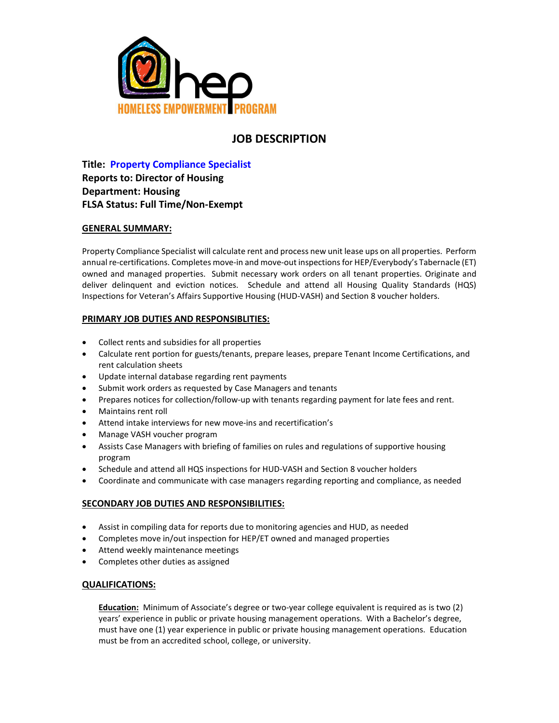

# **JOB DESCRIPTION**

**Title: Property Compliance Specialist Reports to: Director of Housing Department: Housing FLSA Status: Full Time/Non-Exempt**

## **GENERAL SUMMARY:**

Property Compliance Specialist will calculate rent and process new unit lease ups on all properties. Perform annual re-certifications. Completes move-in and move-out inspections for HEP/Everybody's Tabernacle (ET) owned and managed properties. Submit necessary work orders on all tenant properties. Originate and deliver delinquent and eviction notices. Schedule and attend all Housing Quality Standards (HQS) Inspections for Veteran's Affairs Supportive Housing (HUD-VASH) and Section 8 voucher holders.

## **PRIMARY JOB DUTIES AND RESPONSIBLITIES:**

- Collect rents and subsidies for all properties
- Calculate rent portion for guests/tenants, prepare leases, prepare Tenant Income Certifications, and rent calculation sheets
- Update internal database regarding rent payments
- Submit work orders as requested by Case Managers and tenants
- Prepares notices for collection/follow-up with tenants regarding payment for late fees and rent.
- Maintains rent roll
- Attend intake interviews for new move-ins and recertification's
- Manage VASH voucher program
- Assists Case Managers with briefing of families on rules and regulations of supportive housing program
- Schedule and attend all HQS inspections for HUD-VASH and Section 8 voucher holders
- Coordinate and communicate with case managers regarding reporting and compliance, as needed

## **SECONDARY JOB DUTIES AND RESPONSIBILITIES:**

- Assist in compiling data for reports due to monitoring agencies and HUD, as needed
- Completes move in/out inspection for HEP/ET owned and managed properties
- Attend weekly maintenance meetings
- Completes other duties as assigned

## **QUALIFICATIONS:**

**Education:** Minimum of Associate's degree or two-year college equivalent is required as is two (2) years' experience in public or private housing management operations. With a Bachelor's degree, must have one (1) year experience in public or private housing management operations. Education must be from an accredited school, college, or university.